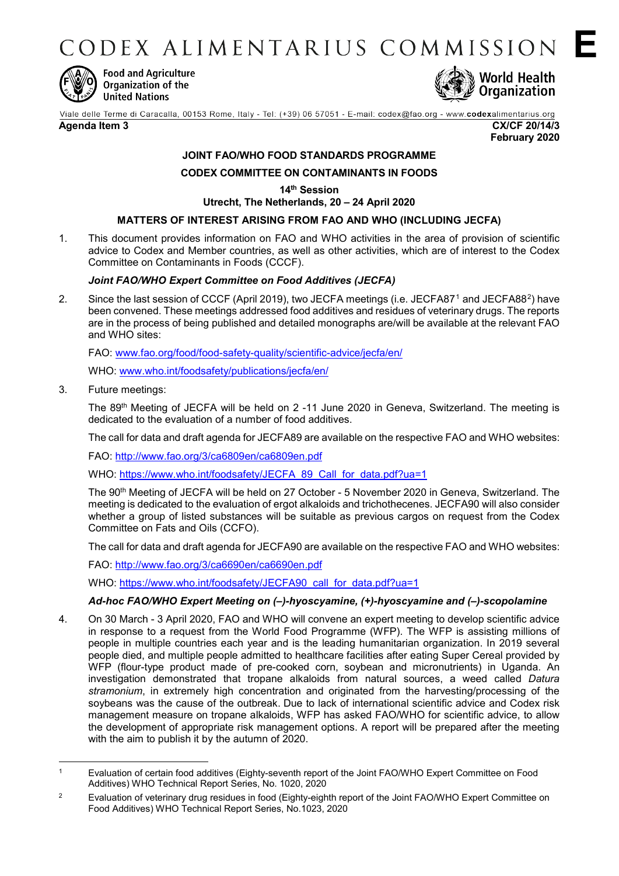CODEX ALIMENTARIUS COMMISSION



**Food and Agriculture** Organization of the **United Nations** 



Viale delle Terme di Caracalla, 00153 Rome, Italy - Tel: (+39) 06 57051 - E-mail: codex@fao.org - www.codexalimentarius.org

**Agenda Item 3 CX/CF 20/14/3 February 2020** **E**

# **JOINT FAO/WHO FOOD STANDARDS PROGRAMME**

# **CODEX COMMITTEE ON CONTAMINANTS IN FOODS**

**14th Session**

**Utrecht, The Netherlands, 20 – 24 April 2020**

## **MATTERS OF INTEREST ARISING FROM FAO AND WHO (INCLUDING JECFA)**

1. This document provides information on FAO and WHO activities in the area of provision of scientific advice to Codex and Member countries, as well as other activities, which are of interest to the Codex Committee on Contaminants in Foods (CCCF).

## *Joint FAO/WHO Expert Committee on Food Additives (JECFA)*

2. Since the last session of CCCF (April 20[1](#page-0-0)9), two JECFA meetings (i.e. JECFA87<sup>1</sup> and JECFA88<sup>[2](#page-0-1)</sup>) have been convened. These meetings addressed food additives and residues of veterinary drugs. The reports are in the process of being published and detailed monographs are/will be available at the relevant FAO and WHO sites:

FAO: [www.fao.org/food/food-safety-quality/scientific-advice/jecfa/en/](http://www.fao.org/food/food-safety-quality/scientific-advice/jecfa/en/)

WHO: [www.who.int/foodsafety/publications/jecfa/en/](http://www.who.int/foodsafety/publications/jecfa/en/)

3. Future meetings:

The 89th Meeting of JECFA will be held on 2 -11 June 2020 in Geneva, Switzerland. The meeting is dedicated to the evaluation of a number of food additives.

The call for data and draft agenda for JECFA89 are available on the respective FAO and WHO websites:

FAO:<http://www.fao.org/3/ca6809en/ca6809en.pdf>

WHO: [https://www.who.int/foodsafety/JECFA\\_89\\_Call\\_for\\_data.pdf?ua=1](https://www.who.int/foodsafety/JECFA_89_Call_for_data.pdf?ua=1)

The 90th Meeting of JECFA will be held on 27 October - 5 November 2020 in Geneva, Switzerland. The meeting is dedicated to the evaluation of ergot alkaloids and trichothecenes. JECFA90 will also consider whether a group of listed substances will be suitable as previous cargos on request from the Codex Committee on Fats and Oils (CCFO).

The call for data and draft agenda for JECFA90 are available on the respective FAO and WHO websites:

FAO:<http://www.fao.org/3/ca6690en/ca6690en.pdf>

WHO: [https://www.who.int/foodsafety/JECFA90\\_call\\_for\\_data.pdf?ua=1](https://www.who.int/foodsafety/JECFA90_call_for_data.pdf?ua=1)

# *Ad-hoc FAO/WHO Expert Meeting on (–)-hyoscyamine, (+)-hyoscyamine and (–)-scopolamine*

4. On 30 March - 3 April 2020, FAO and WHO will convene an expert meeting to develop scientific advice in response to a request from the World Food Programme (WFP). The WFP is assisting millions of people in multiple countries each year and is the leading humanitarian organization. In 2019 several people died, and multiple people admitted to healthcare facilities after eating Super Cereal provided by WFP (flour-type product made of pre-cooked corn, soybean and micronutrients) in Uganda. An investigation demonstrated that tropane alkaloids from natural sources, a weed called *Datura stramonium*, in extremely high concentration and originated from the harvesting/processing of the soybeans was the cause of the outbreak. Due to lack of international scientific advice and Codex risk management measure on tropane alkaloids, WFP has asked FAO/WHO for scientific advice, to allow the development of appropriate risk management options. A report will be prepared after the meeting with the aim to publish it by the autumn of 2020.

<span id="page-0-0"></span> $\overline{1}$ <sup>1</sup> Evaluation of certain food additives (Eighty-seventh report of the Joint FAO/WHO Expert Committee on Food Additives) WHO Technical Report Series, No. 1020, 2020

<span id="page-0-1"></span><sup>&</sup>lt;sup>2</sup> Evaluation of veterinary drug residues in food (Eighty-eighth report of the Joint FAO/WHO Expert Committee on Food Additives) [WHO Technical Report Series, No.1023, 202](http://apps.who.int/iris/bitstream/10665/259895/1/9789241210171-eng.pdf?ua=1)0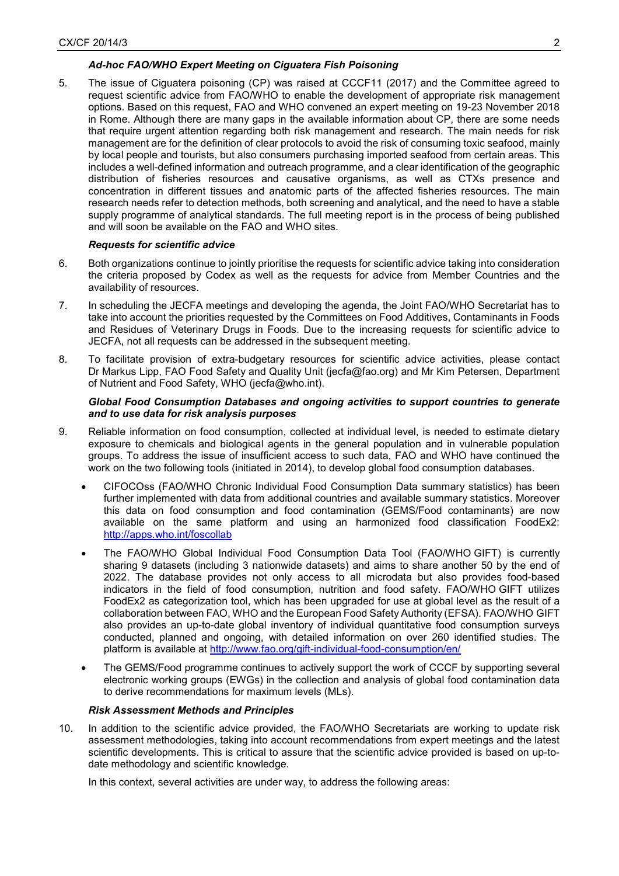## *Ad-hoc FAO/WHO Expert Meeting on Ciguatera Fish Poisoning*

5. The issue of Ciguatera poisoning (CP) was raised at CCCF11 (2017) and the Committee agreed to request scientific advice from FAO/WHO to enable the development of appropriate risk management options. Based on this request, FAO and WHO convened an expert meeting on 19-23 November 2018 in Rome. Although there are many gaps in the available information about CP, there are some needs that require urgent attention regarding both risk management and research. The main needs for risk management are for the definition of clear protocols to avoid the risk of consuming toxic seafood, mainly by local people and tourists, but also consumers purchasing imported seafood from certain areas. This includes a well-defined information and outreach programme, and a clear identification of the geographic distribution of fisheries resources and causative organisms, as well as CTXs presence and concentration in different tissues and anatomic parts of the affected fisheries resources. The main research needs refer to detection methods, both screening and analytical, and the need to have a stable supply programme of analytical standards. The full meeting report is in the process of being published and will soon be available on the FAO and WHO sites.

### *Requests for scientific advice*

- 6. Both organizations continue to jointly prioritise the requests for scientific advice taking into consideration the criteria proposed by Codex as well as the requests for advice from Member Countries and the availability of resources.
- 7. In scheduling the JECFA meetings and developing the agenda, the Joint FAO/WHO Secretariat has to take into account the priorities requested by the Committees on Food Additives, Contaminants in Foods and Residues of Veterinary Drugs in Foods. Due to the increasing requests for scientific advice to JECFA, not all requests can be addressed in the subsequent meeting.
- 8. To facilitate provision of extra-budgetary resources for scientific advice activities, please contact Dr Markus Lipp, FAO Food Safety and Quality Unit (jecfa@fao.org) and Mr Kim Petersen, Department of Nutrient and Food Safety, WHO (jecfa@who.int).

#### *Global Food Consumption Databases and ongoing activities to support countries to generate and to use data for risk analysis purposes*

- 9. Reliable information on food consumption, collected at individual level, is needed to estimate dietary exposure to chemicals and biological agents in the general population and in vulnerable population groups. To address the issue of insufficient access to such data, FAO and WHO have continued the work on the two following tools (initiated in 2014), to develop global food consumption databases.
	- CIFOCOss (FAO/WHO Chronic Individual Food Consumption Data summary statistics) has been further implemented with data from additional countries and available summary statistics. Moreover this data on food consumption and food contamination (GEMS/Food contaminants) are now available on the same platform and using an harmonized food classification FoodEx2: <http://apps.who.int/foscollab>
	- The FAO/WHO Global Individual Food Consumption Data Tool (FAO/WHO GIFT) is currently sharing 9 datasets (including 3 nationwide datasets) and aims to share another 50 by the end of 2022. The database provides not only access to all microdata but also provides food-based indicators in the field of food consumption, nutrition and food safety. FAO/WHO GIFT utilizes FoodEx2 as categorization tool, which has been upgraded for use at global level as the result of a collaboration between FAO, WHO and the European Food Safety Authority (EFSA). FAO/WHO GIFT also provides an up-to-date global inventory of individual quantitative food consumption surveys conducted, planned and ongoing, with detailed information on over 260 identified studies. The platform is available at<http://www.fao.org/gift-individual-food-consumption/en/>
	- The GEMS/Food programme continues to actively support the work of CCCF by supporting several electronic working groups (EWGs) in the collection and analysis of global food contamination data to derive recommendations for maximum levels (MLs).

#### *Risk Assessment Methods and Principles*

10. In addition to the scientific advice provided, the FAO/WHO Secretariats are working to update risk assessment methodologies, taking into account recommendations from expert meetings and the latest scientific developments. This is critical to assure that the scientific advice provided is based on up-todate methodology and scientific knowledge.

In this context, several activities are under way, to address the following areas: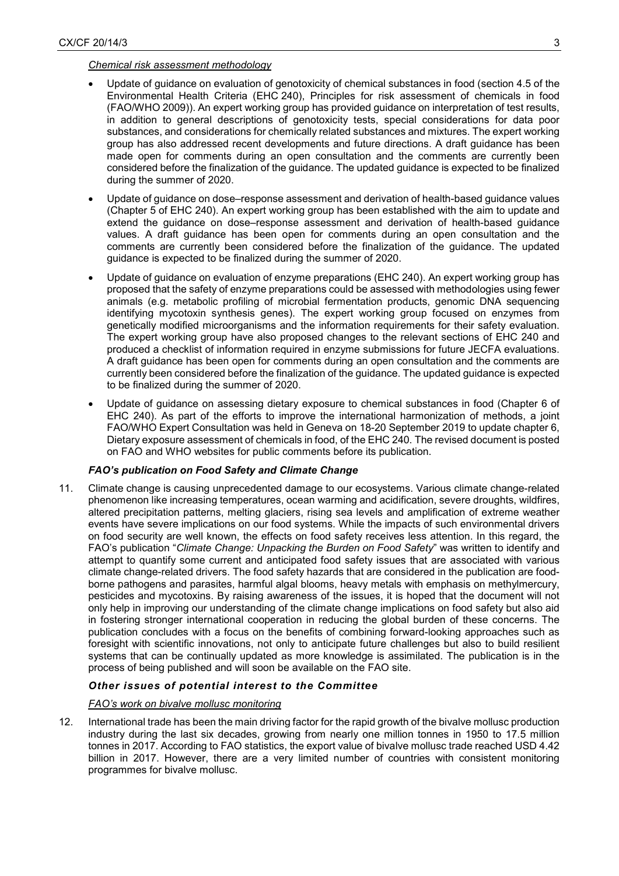#### *Chemical risk assessment methodology*

- Update of guidance on evaluation of genotoxicity of chemical substances in food (section 4.5 of the Environmental Health Criteria (EHC 240), Principles for risk assessment of chemicals in food (FAO/WHO 2009)). An expert working group has provided guidance on interpretation of test results, in addition to general descriptions of genotoxicity tests, special considerations for data poor substances, and considerations for chemically related substances and mixtures. The expert working group has also addressed recent developments and future directions. A draft guidance has been made open for comments during an open consultation and the comments are currently been considered before the finalization of the guidance. The updated guidance is expected to be finalized during the summer of 2020.
- Update of guidance on dose–response assessment and derivation of health-based guidance values (Chapter 5 of EHC 240). An expert working group has been established with the aim to update and extend the guidance on dose–response assessment and derivation of health-based guidance values. A draft guidance has been open for comments during an open consultation and the comments are currently been considered before the finalization of the guidance. The updated guidance is expected to be finalized during the summer of 2020.
- Update of guidance on evaluation of enzyme preparations (EHC 240). An expert working group has proposed that the safety of enzyme preparations could be assessed with methodologies using fewer animals (e.g. metabolic profiling of microbial fermentation products, genomic DNA sequencing identifying mycotoxin synthesis genes). The expert working group focused on enzymes from genetically modified microorganisms and the information requirements for their safety evaluation. The expert working group have also proposed changes to the relevant sections of EHC 240 and produced a checklist of information required in enzyme submissions for future JECFA evaluations. A draft guidance has been open for comments during an open consultation and the comments are currently been considered before the finalization of the guidance. The updated guidance is expected to be finalized during the summer of 2020.
- Update of guidance on assessing dietary exposure to chemical substances in food (Chapter 6 of EHC 240). As part of the efforts to improve the international harmonization of methods, a joint FAO/WHO Expert Consultation was held in Geneva on 18-20 September 2019 to update chapter 6, Dietary exposure assessment of chemicals in food, of the EHC 240. The revised document is posted on FAO and WHO websites for public comments before its publication.

## *FAO's publication on Food Safety and Climate Change*

11. Climate change is causing unprecedented damage to our ecosystems. Various climate change-related phenomenon like increasing temperatures, ocean warming and acidification, severe droughts, wildfires, altered precipitation patterns, melting glaciers, rising sea levels and amplification of extreme weather events have severe implications on our food systems. While the impacts of such environmental drivers on food security are well known, the effects on food safety receives less attention. In this regard, the FAO's publication "*Climate Change: Unpacking the Burden on Food Safety*" was written to identify and attempt to quantify some current and anticipated food safety issues that are associated with various climate change-related drivers. The food safety hazards that are considered in the publication are foodborne pathogens and parasites, harmful algal blooms, heavy metals with emphasis on methylmercury, pesticides and mycotoxins. By raising awareness of the issues, it is hoped that the document will not only help in improving our understanding of the climate change implications on food safety but also aid in fostering stronger international cooperation in reducing the global burden of these concerns. The publication concludes with a focus on the benefits of combining forward-looking approaches such as foresight with scientific innovations, not only to anticipate future challenges but also to build resilient systems that can be continually updated as more knowledge is assimilated. The publication is in the process of being published and will soon be available on the FAO site.

## *Other issues of potential interest to the Committee*

#### *FAO's work on bivalve mollusc monitoring*

12. International trade has been the main driving factor for the rapid growth of the bivalve mollusc production industry during the last six decades, growing from nearly one million tonnes in 1950 to 17.5 million tonnes in 2017. According to FAO statistics, the export value of bivalve mollusc trade reached USD 4.42 billion in 2017. However, there are a very limited number of countries with consistent monitoring programmes for bivalve mollusc.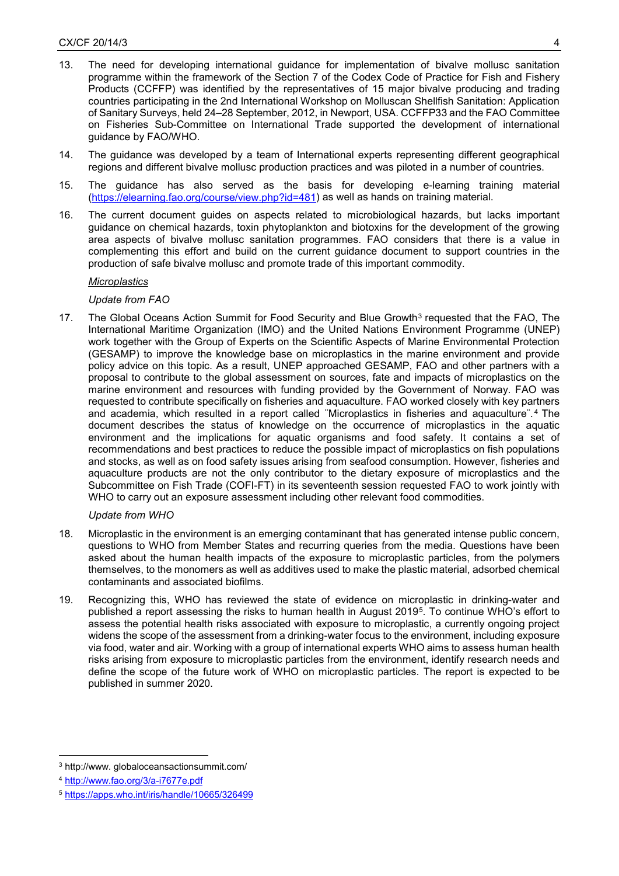- 13. The need for developing international guidance for implementation of bivalve mollusc sanitation programme within the framework of the Section 7 of the Codex Code of Practice for Fish and Fishery Products (CCFFP) was identified by the representatives of 15 major bivalve producing and trading countries participating in the 2nd International Workshop on Molluscan Shellfish Sanitation: Application of Sanitary Surveys, held 24–28 September, 2012, in Newport, USA. CCFFP33 and the FAO Committee on Fisheries Sub-Committee on International Trade supported the development of international guidance by FAO/WHO.
- 14. The guidance was developed by a team of International experts representing different geographical regions and different bivalve mollusc production practices and was piloted in a number of countries.
- 15. The guidance has also served as the basis for developing e-learning training material [\(https://elearning.fao.org/course/view.php?id=481\)](https://elearning.fao.org/course/view.php?id=481) as well as hands on training material.
- 16. The current document guides on aspects related to microbiological hazards, but lacks important guidance on chemical hazards, toxin phytoplankton and biotoxins for the development of the growing area aspects of bivalve mollusc sanitation programmes. FAO considers that there is a value in complementing this effort and build on the current guidance document to support countries in the production of safe bivalve mollusc and promote trade of this important commodity.

### *Microplastics*

### *Update from FAO*

17. The Global Oceans Action Summit for Food Security and Blue Growth<sup>[3](#page-3-0)</sup> requested that the FAO, The International Maritime Organization (IMO) and the United Nations Environment Programme (UNEP) work together with the Group of Experts on the Scientific Aspects of Marine Environmental Protection (GESAMP) to improve the knowledge base on microplastics in the marine environment and provide policy advice on this topic. As a result, UNEP approached GESAMP, FAO and other partners with a proposal to contribute to the global assessment on sources, fate and impacts of microplastics on the marine environment and resources with funding provided by the Government of Norway. FAO was requested to contribute specifically on fisheries and aquaculture. FAO worked closely with key partners and academia, which resulted in a report called ¨Microplastics in fisheries and aquaculture¨. [4](#page-3-1) The document describes the status of knowledge on the occurrence of microplastics in the aquatic environment and the implications for aquatic organisms and food safety. It contains a set of recommendations and best practices to reduce the possible impact of microplastics on fish populations and stocks, as well as on food safety issues arising from seafood consumption. However, fisheries and aquaculture products are not the only contributor to the dietary exposure of microplastics and the Subcommittee on Fish Trade (COFI-FT) in its seventeenth session requested FAO to work jointly with WHO to carry out an exposure assessment including other relevant food commodities.

## *Update from WHO*

- 18. Microplastic in the environment is an emerging contaminant that has generated intense public concern, questions to WHO from Member States and recurring queries from the media. Questions have been asked about the human health impacts of the exposure to microplastic particles, from the polymers themselves, to the monomers as well as additives used to make the plastic material, adsorbed chemical contaminants and associated biofilms.
- 19. Recognizing this, WHO has reviewed the state of evidence on microplastic in drinking-water and published a report assessing the risks to human health in August 2019[5.](#page-3-2) To continue WHO's effort to assess the potential health risks associated with exposure to microplastic, a currently ongoing project widens the scope of the assessment from a drinking-water focus to the environment, including exposure via food, water and air. Working with a group of international experts WHO aims to assess human health risks arising from exposure to microplastic particles from the environment, identify research needs and define the scope of the future work of WHO on microplastic particles. The report is expected to be published in summer 2020.

<span id="page-3-0"></span><sup>-</sup><sup>3</sup> http://www. globaloceansactionsummit.com/

<span id="page-3-1"></span><sup>4</sup> <http://www.fao.org/3/a-i7677e.pdf>

<span id="page-3-2"></span><sup>5</sup> <https://apps.who.int/iris/handle/10665/326499>